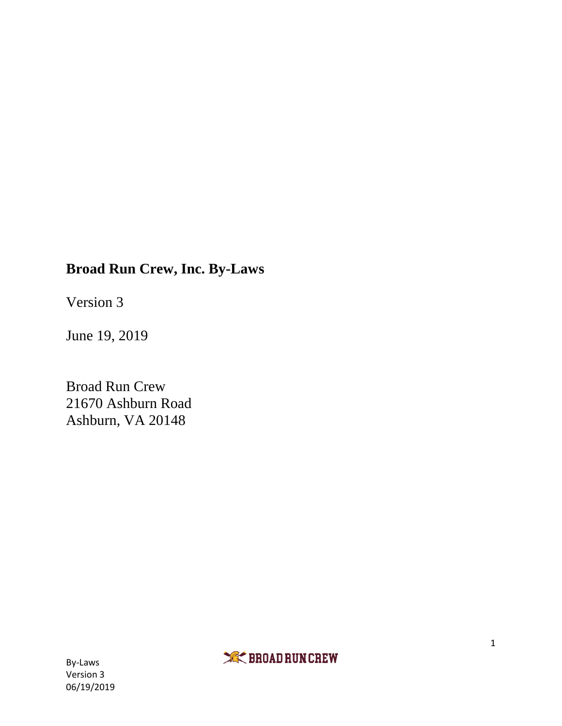# **Broad Run Crew, Inc. By-Laws**

Version 3

June 19, 2019

Broad Run Crew 21670 Ashburn Road Ashburn, VA 20148

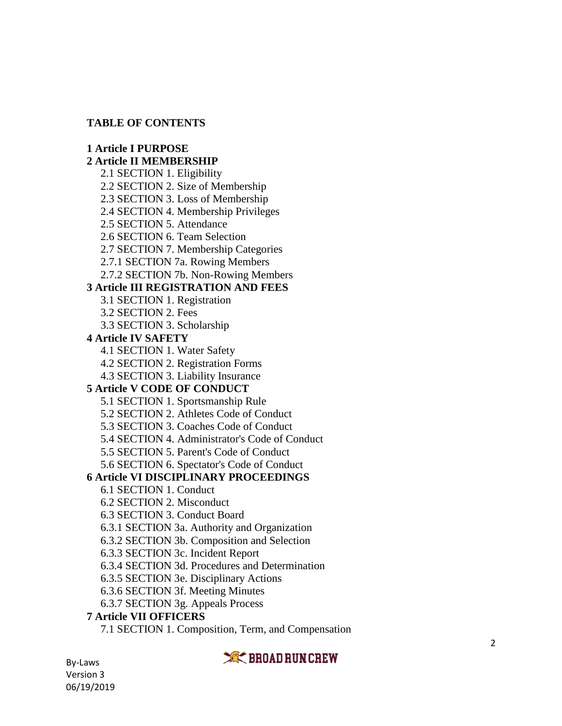### **TABLE OF CONTENTS**

### **1 Article I PURPOSE**

# **2 Article II MEMBERSHIP**

- 2.1 SECTION 1. Eligibility
- 2.2 SECTION 2. Size of Membership
- 2.3 SECTION 3. Loss of Membership
- 2.4 SECTION 4. Membership Privileges
- 2.5 SECTION 5. Attendance
- 2.6 SECTION 6. Team Selection
- 2.7 SECTION 7. Membership Categories
- 2.7.1 SECTION 7a. Rowing Members
- 2.7.2 SECTION 7b. Non -Rowing Members

# **3 Article III REGISTRATION AND FEES**

- 3.1 SECTION 1. Registration
- 3.2 SECTION 2. Fees
- 3.3 SECTION 3. Scholarship

# **4 Article IV SAFETY**

- 4.1 SECTION 1. Water Safety
- 4.2 SECTION 2. Registration Forms
- 4.3 SECTION 3. Liability Insurance

# **5 Article V CODE OF CONDUCT**

- 5.1 SECTION 1. Sportsmanship Rule
- 5.2 SECTION 2. Athletes Code of Conduct
- 5.3 SECTION 3. Coaches Code of Conduct
- 5.4 SECTION 4. Administrator's Code of Conduct
- 5.5 SECTION 5. Parent's Code of Conduct
- 5.6 SECTION 6. Spectator's Code of Conduct

# **6 Article VI DISCIPLINARY PROCEEDINGS**

- 6.1 SECTION 1. Conduct
- 6.2 SECTION 2. Misconduct
- 6.3 SECTION 3. Conduct Board
- 6.3.1 SECTION 3a. Authority and Organization
- 6.3.2 SECTION 3b. Composition and Selection
- 6.3.3 SECTION 3c. Incident Report
- 6.3.4 SECTION 3d. Procedures and Determination
- 6.3.5 SECTION 3e. Disciplinary Actions
- 6.3.6 SECTION 3f. Meeting Minutes
- 6.3.7 SECTION 3g. Appeals Process

# **7 Article VII OFFICERS**

7.1 SECTION 1. Composition, Term, and Compensation

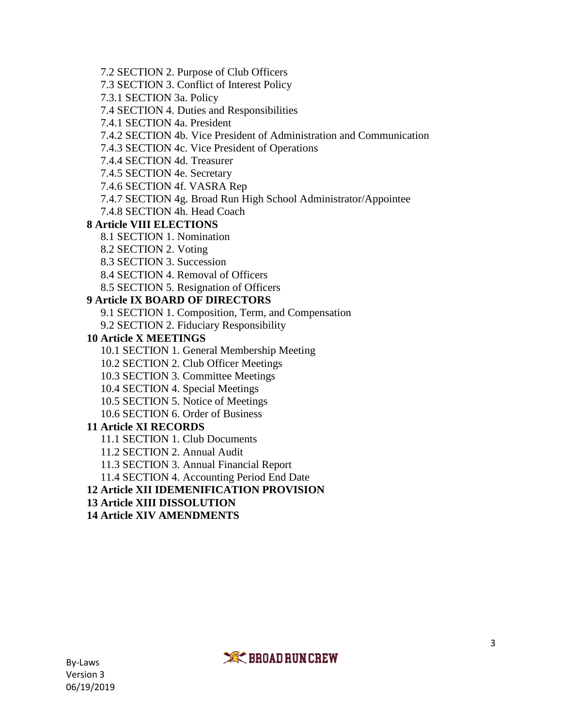- 7.2 SECTION 2. Purpose of Club Officers
- 7.3 SECTION 3. Conflict of Interest Policy
- 7.3.1 SECTION 3a. Policy
- 7.4 SECTION 4. Duties and Responsibilities
- 7.4.1 SECTION 4a. President
- 7.4.2 SECTION 4b. Vice President of Administration and Communication
- 7.4.3 SECTION 4c. Vice President of Operations
- 7.4.4 SECTION 4d. Treasurer
- 7.4.5 SECTION 4e. Secretary
- 7.4.6 SECTION 4f. VASRA Rep
- 7.4.7 SECTION 4g. Broad Run High School Administrator/Appointee
- 7.4.8 SECTION 4h. Head Coach

### **8 Article VIII ELECTIONS**

- 8.1 SECTION 1. Nomination
- 8.2 SECTION 2. Voting
- 8.3 SECTION 3. Succession
- 8.4 SECTION 4. Removal of Officers
- 8.5 SECTION 5. Resignation of Officers

# **9 Article IX BOARD OF DIRECTORS**

- 9.1 SECTION 1. Composition, Term, and Compensation
- 9.2 SECTION 2. Fiduciary Responsibility

# **10 Article X MEETINGS**

- 10.1 SECTION 1. General Membership Meeting
- 10.2 SECTION 2. Club Officer Meetings
- 10.3 SECTION 3. Committee Meetings
- 10.4 SECTION 4. Special Meetings
- 10.5 SECTION 5. Notice of Meetings
- 10.6 SECTION 6. Order of Business

# **11 Article XI RECORDS**

- 11.1 SECTION 1. Club Documents
- 11.2 SECTION 2. Annual Audit
- 11.3 SECTION 3. Annual Financial Report
- 11.4 SECTION 4. Accounting Period End Date

# **12 Article XII IDEMENIFICATION PROVISION**

- **13 Article XIII DISSOLUTION**
- **14 Article XIV AMENDMENTS**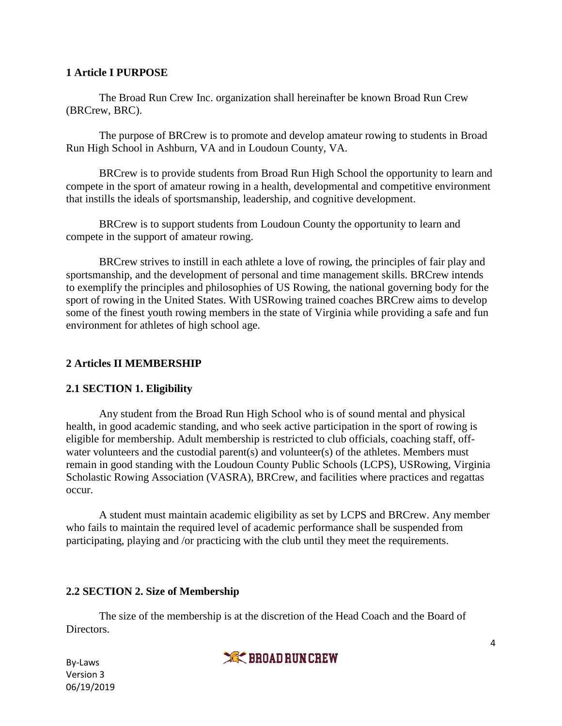#### **1 Article I PURPOSE**

The Broad Run Crew Inc. organization shall hereinafter be known Broad Run Crew (BRCrew, BRC).

The purpose of BRCrew is to promote and develop amateur rowing to students in Broad Run High School in Ashburn, VA and in Loudoun County, VA.

BRCrew is to provide students from Broad Run High School the opportunity to learn and compete in the sport of amateur rowing in a health, developmental and competitive environment that instills the ideals of sportsmanship, leadership, and cognitive development.

BRCrew is to support students from Loudoun County the opportunity to learn and compete in the support of amateur rowing.

BRCrew strives to instill in each athlete a love of rowing, the principles of fair play and sportsmanship, and the development of personal and time management skills. BRCrew intends to exemplify the principles and philosophies of US Rowing, the national governing body for the sport of rowing in the United States. With USRowing trained coaches BRCrew aims to develop some of the finest youth rowing members in the state of Virginia while providing a safe and fun environment for athletes of high school age.

### **2 Articles II MEMBERSHIP**

### **2.1 SECTION 1. Eligibility**

Any student from the Broad Run High School who is of sound mental and physical health, in good academic standing, and who seek active participation in the sport of rowing is eligible for membership. Adult membership is restricted to club officials, coaching staff, offwater volunteers and the custodial parent(s) and volunteer(s) of the athletes. Members must remain in good standing with the Loudoun County Public Schools (LCPS), USRowing, Virginia Scholastic Rowing Association (VASRA), BRCrew, and facilities where practices and regattas occur.

A student must maintain academic eligibility as set by LCPS and BRCrew. Any member who fails to maintain the required level of academic performance shall be suspended from participating, playing and /or practicing with the club until they meet the requirements.

### **2.2 SECTION 2. Size of Membership**

The size of the membership is at the discretion of the Head Coach and the Board of Directors.

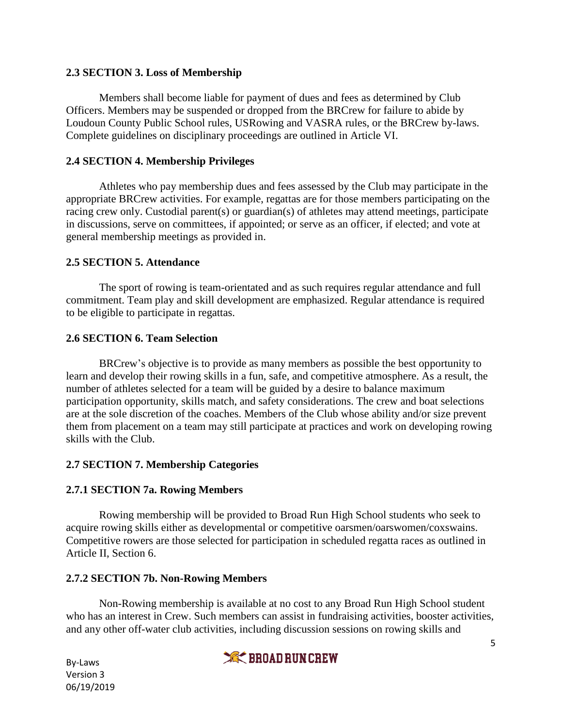#### **2.3 SECTION 3. Loss of Membership**

Members shall become liable for payment of dues and fees as determined by Club Officers. Members may be suspended or dropped from the BRCrew for failure to abide by Loudoun County Public School rules, USRowing and VASRA rules, or the BRCrew by-laws. Complete guidelines on disciplinary proceedings are outlined in Article VI.

### **2.4 SECTION 4. Membership Privileges**

Athletes who pay membership dues and fees assessed by the Club may participate in the appropriate BRCrew activities. For example, regattas are for those members participating on the racing crew only. Custodial parent(s) or guardian(s) of athletes may attend meetings, participate in discussions, serve on committees, if appointed; or serve as an officer, if elected; and vote at general membership meetings as provided in.

#### **2.5 SECTION 5. Attendance**

The sport of rowing is team-orientated and as such requires regular attendance and full commitment. Team play and skill development are emphasized. Regular attendance is required to be eligible to participate in regattas.

#### **2.6 SECTION 6. Team Selection**

BRCrew's objective is to provide as many members as possible the best opportunity to learn and develop their rowing skills in a fun, safe, and competitive atmosphere. As a result, the number of athletes selected for a team will be guided by a desire to balance maximum participation opportunity, skills match, and safety considerations. The crew and boat selections are at the sole discretion of the coaches. Members of the Club whose ability and/or size prevent them from placement on a team may still participate at practices and work on developing rowing skills with the Club.

### **2.7 SECTION 7. Membership Categories**

#### **2.7.1 SECTION 7a. Rowing Members**

Rowing membership will be provided to Broad Run High School students who seek to acquire rowing skills either as developmental or competitive oarsmen/oarswomen/coxswains. Competitive rowers are those selected for participation in scheduled regatta races as outlined in Article II, Section 6.

#### **2.7.2 SECTION 7b. Non-Rowing Members**

Non-Rowing membership is available at no cost to any Broad Run High School student who has an interest in Crew. Such members can assist in fundraising activities, booster activities, and any other off-water club activities, including discussion sessions on rowing skills and

**XK BROAD RUN CREW**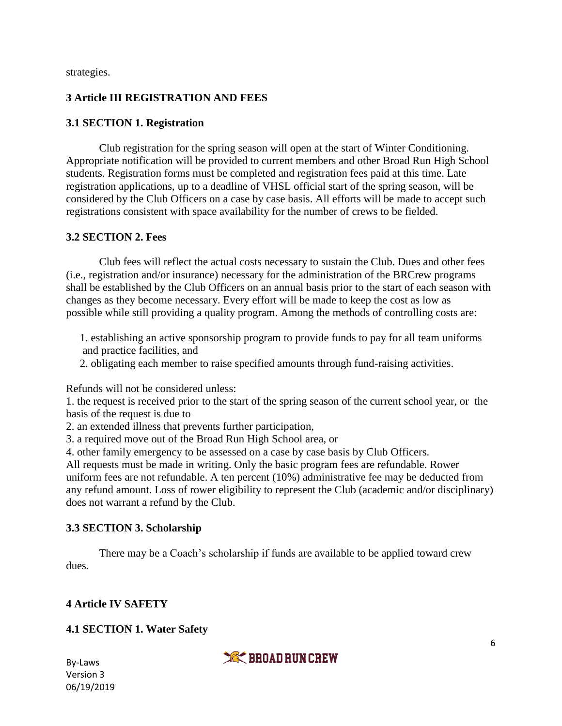strategies.

### **3 Article III REGISTRATION AND FEES**

### **3.1 SECTION 1. Registration**

Club registration for the spring season will open at the start of Winter Conditioning. Appropriate notification will be provided to current members and other Broad Run High School students. Registration forms must be completed and registration fees paid at this time. Late registration applications, up to a deadline of VHSL official start of the spring season, will be considered by the Club Officers on a case by case basis. All efforts will be made to accept such registrations consistent with space availability for the number of crews to be fielded.

### **3.2 SECTION 2. Fees**

Club fees will reflect the actual costs necessary to sustain the Club. Dues and other fees (i.e., registration and/or insurance) necessary for the administration of the BRCrew programs shall be established by the Club Officers on an annual basis prior to the start of each season with changes as they become necessary. Every effort will be made to keep the cost as low as possible while still providing a quality program. Among the methods of controlling costs are:

 1. establishing an active sponsorship program to provide funds to pay for all team uniforms and practice facilities, and

2. obligating each member to raise specified amounts through fund-raising activities.

Refunds will not be considered unless:

1. the request is received prior to the start of the spring season of the current school year, or the basis of the request is due to

2. an extended illness that prevents further participation,

3. a required move out of the Broad Run High School area, or

4. other family emergency to be assessed on a case by case basis by Club Officers.

All requests must be made in writing. Only the basic program fees are refundable. Rower uniform fees are not refundable. A ten percent (10%) administrative fee may be deducted from any refund amount. Loss of rower eligibility to represent the Club (academic and/or disciplinary) does not warrant a refund by the Club.

### **3.3 SECTION 3. Scholarship**

There may be a Coach's scholarship if funds are available to be applied toward crew dues.

# **4 Article IV SAFETY**

# **4.1 SECTION 1. Water Safety**

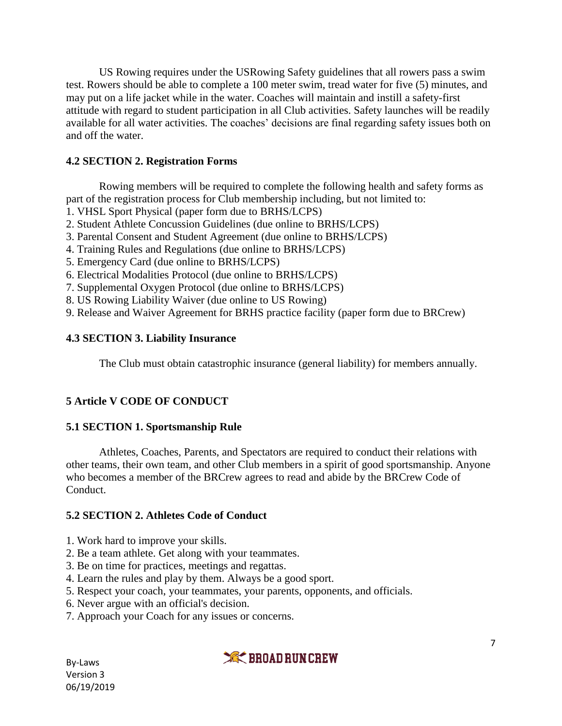US Rowing requires under the USRowing Safety guidelines that all rowers pass a swim test. Rowers should be able to complete a 100 meter swim, tread water for five (5) minutes, and may put on a life jacket while in the water. Coaches will maintain and instill a safety-first attitude with regard to student participation in all Club activities. Safety launches will be readily available for all water activities. The coaches' decisions are final regarding safety issues both on and off the water.

### **4.2 SECTION 2. Registration Forms**

Rowing members will be required to complete the following health and safety forms as part of the registration process for Club membership including, but not limited to:

- 1. VHSL Sport Physical (paper form due to BRHS/LCPS)
- 2. Student Athlete Concussion Guidelines (due online to BRHS/LCPS)
- 3. Parental Consent and Student Agreement (due online to BRHS/LCPS)
- 4. Training Rules and Regulations (due online to BRHS/LCPS)
- 5. Emergency Card (due online to BRHS/LCPS)
- 6. Electrical Modalities Protocol (due online to BRHS/LCPS)
- 7. Supplemental Oxygen Protocol (due online to BRHS/LCPS)
- 8. US Rowing Liability Waiver (due online to US Rowing)
- 9. Release and Waiver Agreement for BRHS practice facility (paper form due to BRCrew)

#### **4.3 SECTION 3. Liability Insurance**

The Club must obtain catastrophic insurance (general liability) for members annually.

### **5 Article V CODE OF CONDUCT**

#### **5.1 SECTION 1. Sportsmanship Rule**

Athletes, Coaches, Parents, and Spectators are required to conduct their relations with other teams, their own team, and other Club members in a spirit of good sportsmanship. Anyone who becomes a member of the BRCrew agrees to read and abide by the BRCrew Code of Conduct.

#### **5.2 SECTION 2. Athletes Code of Conduct**

- 1. Work hard to improve your skills.
- 2. Be a team athlete. Get along with your teammates.
- 3. Be on time for practices, meetings and regattas.
- 4. Learn the rules and play by them. Always be a good sport.
- 5. Respect your coach, your teammates, your parents, opponents, and officials.
- 6. Never argue with an official's decision.
- 7. Approach your Coach for any issues or concerns.

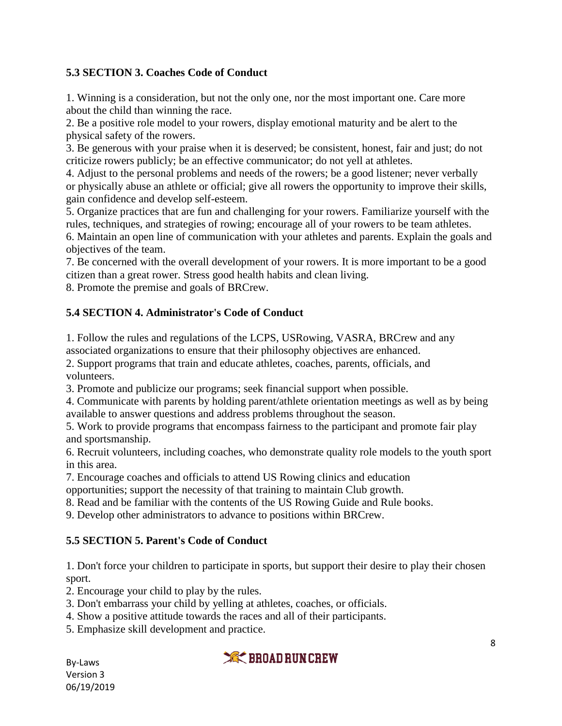# **5.3 SECTION 3. Coaches Code of Conduct**

1. Winning is a consideration, but not the only one, nor the most important one. Care more about the child than winning the race.

2. Be a positive role model to your rowers, display emotional maturity and be alert to the physical safety of the rowers.

3. Be generous with your praise when it is deserved; be consistent, honest, fair and just; do not criticize rowers publicly; be an effective communicator; do not yell at athletes.

4. Adjust to the personal problems and needs of the rowers; be a good listener; never verbally or physically abuse an athlete or official; give all rowers the opportunity to improve their skills, gain confidence and develop self-esteem.

5. Organize practices that are fun and challenging for your rowers. Familiarize yourself with the rules, techniques, and strategies of rowing; encourage all of your rowers to be team athletes.

6. Maintain an open line of communication with your athletes and parents. Explain the goals and objectives of the team.

7. Be concerned with the overall development of your rowers. It is more important to be a good citizen than a great rower. Stress good health habits and clean living.

8. Promote the premise and goals of BRCrew.

# **5.4 SECTION 4. Administrator's Code of Conduct**

1. Follow the rules and regulations of the LCPS, USRowing, VASRA, BRCrew and any associated organizations to ensure that their philosophy objectives are enhanced.

2. Support programs that train and educate athletes, coaches, parents, officials, and volunteers.

3. Promote and publicize our programs; seek financial support when possible.

4. Communicate with parents by holding parent/athlete orientation meetings as well as by being available to answer questions and address problems throughout the season.

5. Work to provide programs that encompass fairness to the participant and promote fair play and sportsmanship.

6. Recruit volunteers, including coaches, who demonstrate quality role models to the youth sport in this area.

7. Encourage coaches and officials to attend US Rowing clinics and education

opportunities; support the necessity of that training to maintain Club growth.

8. Read and be familiar with the contents of the US Rowing Guide and Rule books.

9. Develop other administrators to advance to positions within BRCrew.

### **5.5 SECTION 5. Parent's Code of Conduct**

1. Don't force your children to participate in sports, but support their desire to play their chosen sport.

2. Encourage your child to play by the rules.

- 3. Don't embarrass your child by yelling at athletes, coaches, or officials.
- 4. Show a positive attitude towards the races and all of their participants.

5. Emphasize skill development and practice.

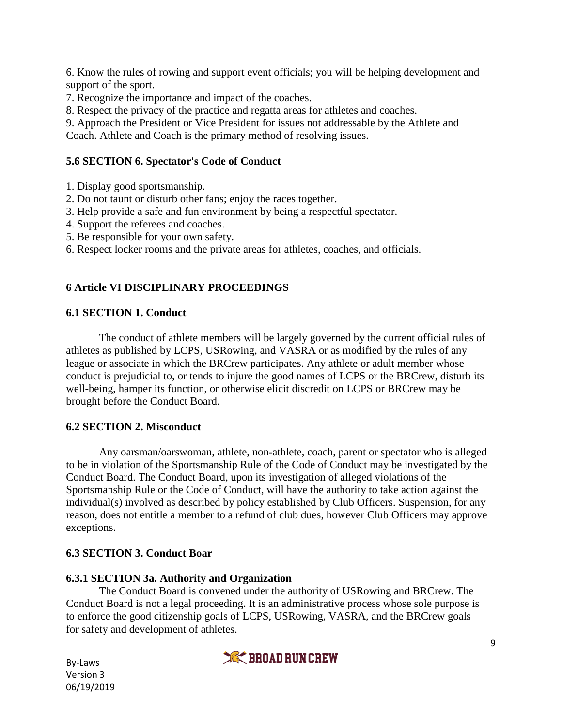6. Know the rules of rowing and support event officials; you will be helping development and support of the sport.

7. Recognize the importance and impact of the coaches.

8. Respect the privacy of the practice and regatta areas for athletes and coaches.

9. Approach the President or Vice President for issues not addressable by the Athlete and Coach. Athlete and Coach is the primary method of resolving issues.

### **5.6 SECTION 6. Spectator's Code of Conduct**

- 1. Display good sportsmanship.
- 2. Do not taunt or disturb other fans; enjoy the races together.
- 3. Help provide a safe and fun environment by being a respectful spectator.
- 4. Support the referees and coaches.
- 5. Be responsible for your own safety.
- 6. Respect locker rooms and the private areas for athletes, coaches, and officials.

### **6 Article VI DISCIPLINARY PROCEEDINGS**

### **6.1 SECTION 1. Conduct**

The conduct of athlete members will be largely governed by the current official rules of athletes as published by LCPS, USRowing, and VASRA or as modified by the rules of any league or associate in which the BRCrew participates. Any athlete or adult member whose conduct is prejudicial to, or tends to injure the good names of LCPS or the BRCrew, disturb its well-being, hamper its function, or otherwise elicit discredit on LCPS or BRCrew may be brought before the Conduct Board.

### **6.2 SECTION 2. Misconduct**

Any oarsman/oarswoman, athlete, non-athlete, coach, parent or spectator who is alleged to be in violation of the Sportsmanship Rule of the Code of Conduct may be investigated by the Conduct Board. The Conduct Board, upon its investigation of alleged violations of the Sportsmanship Rule or the Code of Conduct, will have the authority to take action against the individual(s) involved as described by policy established by Club Officers. Suspension, for any reason, does not entitle a member to a refund of club dues, however Club Officers may approve exceptions.

### **6.3 SECTION 3. Conduct Boar**

### **6.3.1 SECTION 3a. Authority and Organization**

The Conduct Board is convened under the authority of USRowing and BRCrew. The Conduct Board is not a legal proceeding. It is an administrative process whose sole purpose is to enforce the good citizenship goals of LCPS, USRowing, VASRA, and the BRCrew goals for safety and development of athletes.

**XX BROAD RUN CREW**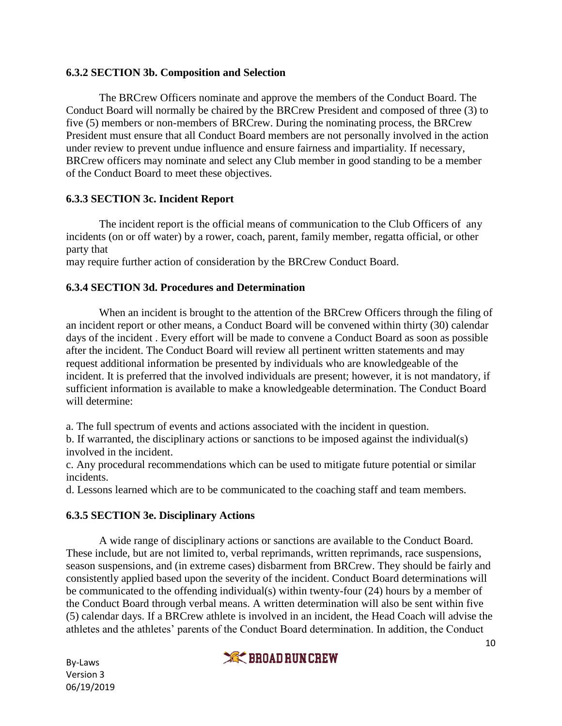#### **6.3.2 SECTION 3b. Composition and Selection**

The BRCrew Officers nominate and approve the members of the Conduct Board. The Conduct Board will normally be chaired by the BRCrew President and composed of three (3) to five (5) members or non-members of BRCrew. During the nominating process, the BRCrew President must ensure that all Conduct Board members are not personally involved in the action under review to prevent undue influence and ensure fairness and impartiality. If necessary, BRCrew officers may nominate and select any Club member in good standing to be a member of the Conduct Board to meet these objectives.

### **6.3.3 SECTION 3c. Incident Report**

The incident report is the official means of communication to the Club Officers of any incidents (on or off water) by a rower, coach, parent, family member, regatta official, or other party that

may require further action of consideration by the BRCrew Conduct Board.

### **6.3.4 SECTION 3d. Procedures and Determination**

When an incident is brought to the attention of the BRCrew Officers through the filing of an incident report or other means, a Conduct Board will be convened within thirty (30) calendar days of the incident . Every effort will be made to convene a Conduct Board as soon as possible after the incident. The Conduct Board will review all pertinent written statements and may request additional information be presented by individuals who are knowledgeable of the incident. It is preferred that the involved individuals are present; however, it is not mandatory, if sufficient information is available to make a knowledgeable determination. The Conduct Board will determine:

a. The full spectrum of events and actions associated with the incident in question.

b. If warranted, the disciplinary actions or sanctions to be imposed against the individual(s) involved in the incident.

c. Any procedural recommendations which can be used to mitigate future potential or similar incidents.

d. Lessons learned which are to be communicated to the coaching staff and team members.

### **6.3.5 SECTION 3e. Disciplinary Actions**

A wide range of disciplinary actions or sanctions are available to the Conduct Board. These include, but are not limited to, verbal reprimands, written reprimands, race suspensions, season suspensions, and (in extreme cases) disbarment from BRCrew. They should be fairly and consistently applied based upon the severity of the incident. Conduct Board determinations will be communicated to the offending individual(s) within twenty-four (24) hours by a member of the Conduct Board through verbal means. A written determination will also be sent within five (5) calendar days. If a BRCrew athlete is involved in an incident, the Head Coach will advise the athletes and the athletes' parents of the Conduct Board determination. In addition, the Conduct

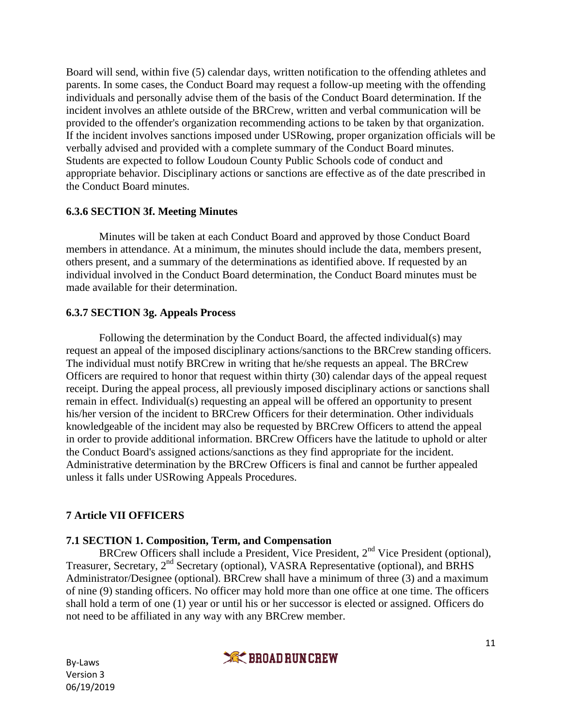Board will send, within five (5) calendar days, written notification to the offending athletes and parents. In some cases, the Conduct Board may request a follow-up meeting with the offending individuals and personally advise them of the basis of the Conduct Board determination. If the incident involves an athlete outside of the BRCrew, written and verbal communication will be provided to the offender's organization recommending actions to be taken by that organization. If the incident involves sanctions imposed under USRowing, proper organization officials will be verbally advised and provided with a complete summary of the Conduct Board minutes. Students are expected to follow Loudoun County Public Schools code of conduct and appropriate behavior. Disciplinary actions or sanctions are effective as of the date prescribed in the Conduct Board minutes.

### **6.3.6 SECTION 3f. Meeting Minutes**

Minutes will be taken at each Conduct Board and approved by those Conduct Board members in attendance. At a minimum, the minutes should include the data, members present, others present, and a summary of the determinations as identified above. If requested by an individual involved in the Conduct Board determination, the Conduct Board minutes must be made available for their determination.

### **6.3.7 SECTION 3g. Appeals Process**

Following the determination by the Conduct Board, the affected individual(s) may request an appeal of the imposed disciplinary actions/sanctions to the BRCrew standing officers. The individual must notify BRCrew in writing that he/she requests an appeal. The BRCrew Officers are required to honor that request within thirty (30) calendar days of the appeal request receipt. During the appeal process, all previously imposed disciplinary actions or sanctions shall remain in effect. Individual(s) requesting an appeal will be offered an opportunity to present his/her version of the incident to BRCrew Officers for their determination. Other individuals knowledgeable of the incident may also be requested by BRCrew Officers to attend the appeal in order to provide additional information. BRCrew Officers have the latitude to uphold or alter the Conduct Board's assigned actions/sanctions as they find appropriate for the incident. Administrative determination by the BRCrew Officers is final and cannot be further appealed unless it falls under USRowing Appeals Procedures.

### **7 Article VII OFFICERS**

### **7.1 SECTION 1. Composition, Term, and Compensation**

BRCrew Officers shall include a President, Vice President, 2<sup>nd</sup> Vice President (optional), Treasurer, Secretary, 2<sup>nd</sup> Secretary (optional), VASRA Representative (optional), and BRHS Administrator/Designee (optional). BRCrew shall have a minimum of three (3) and a maximum of nine (9) standing officers. No officer may hold more than one office at one time. The officers shall hold a term of one (1) year or until his or her successor is elected or assigned. Officers do not need to be affiliated in any way with any BRCrew member.

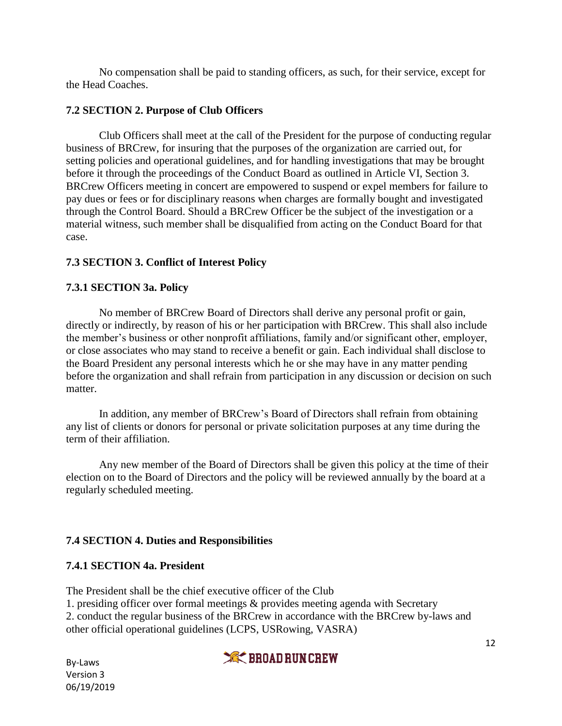No compensation shall be paid to standing officers, as such, for their service, except for the Head Coaches.

### **7.2 SECTION 2. Purpose of Club Officers**

Club Officers shall meet at the call of the President for the purpose of conducting regular business of BRCrew, for insuring that the purposes of the organization are carried out, for setting policies and operational guidelines, and for handling investigations that may be brought before it through the proceedings of the Conduct Board as outlined in Article VI, Section 3. BRCrew Officers meeting in concert are empowered to suspend or expel members for failure to pay dues or fees or for disciplinary reasons when charges are formally bought and investigated through the Control Board. Should a BRCrew Officer be the subject of the investigation or a material witness, such member shall be disqualified from acting on the Conduct Board for that case.

# **7.3 SECTION 3. Conflict of Interest Policy**

### **7.3.1 SECTION 3a. Policy**

No member of BRCrew Board of Directors shall derive any personal profit or gain, directly or indirectly, by reason of his or her participation with BRCrew. This shall also include the member's business or other nonprofit affiliations, family and/or significant other, employer, or close associates who may stand to receive a benefit or gain. Each individual shall disclose to the Board President any personal interests which he or she may have in any matter pending before the organization and shall refrain from participation in any discussion or decision on such matter.

In addition, any member of BRCrew's Board of Directors shall refrain from obtaining any list of clients or donors for personal or private solicitation purposes at any time during the term of their affiliation.

Any new member of the Board of Directors shall be given this policy at the time of their election on to the Board of Directors and the policy will be reviewed annually by the board at a regularly scheduled meeting.

# **7.4 SECTION 4. Duties and Responsibilities**

### **7.4.1 SECTION 4a. President**

The President shall be the chief executive officer of the Club

1. presiding officer over formal meetings & provides meeting agenda with Secretary

2. conduct the regular business of the BRCrew in accordance with the BRCrew by-laws and other official operational guidelines (LCPS, USRowing, VASRA)

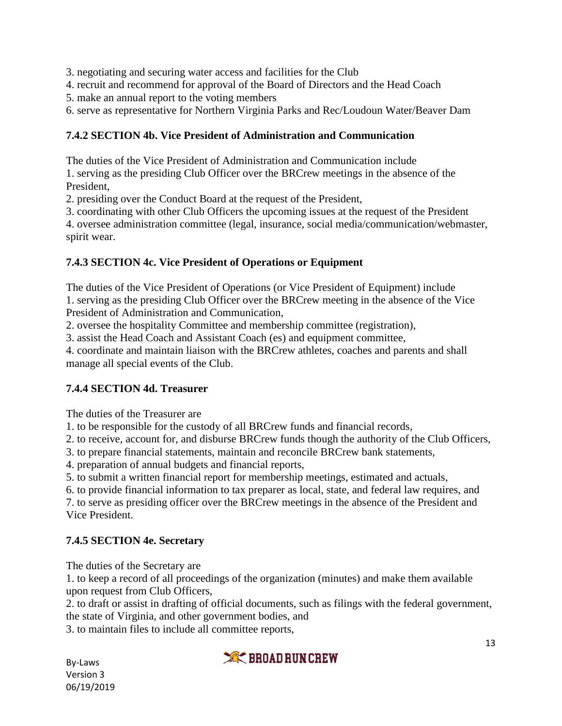3. negotiating and securing water access and facilities for the Club

4. recruit and recommend for approval of the Board of Directors and the Head Coach

5. make an annual report to the voting members

6. serve as representative for Northern Virginia Parks and Rec/Loudoun Water/Beaver Dam

### **7.4.2 SECTION 4b. Vice President of Administration and Communication**

The duties of the Vice President of Administration and Communication include

1. serving as the presiding Club Officer over the BRCrew meetings in the absence of the President,

2. presiding over the Conduct Board at the request of the President,

3. coordinating with other Club Officers the upcoming issues at the request of the President

4. oversee administration committee (legal, insurance, social media/communication/webmaster, spirit wear.

### **7.4.3 SECTION 4c. Vice President of Operations or Equipment**

The duties of the Vice President of Operations (or Vice President of Equipment) include 1. serving as the presiding Club Officer over the BRCrew meeting in the absence of the Vice President of Administration and Communication,

2. oversee the hospitality Committee and membership committee (registration),

3. assist the Head Coach and Assistant Coach (es) and equipment committee,

4. coordinate and maintain liaison with the BRCrew athletes, coaches and parents and shall manage all special events of the Club.

# **7.4.4 SECTION 4d. Treasurer**

The duties of the Treasurer are

1. to be responsible for the custody of all BRCrew funds and financial records,

2. to receive, account for, and disburse BRCrew funds though the authority of the Club Officers,

3. to prepare financial statements, maintain and reconcile BRCrew bank statements,

4. preparation of annual budgets and financial reports,

5. to submit a written financial report for membership meetings, estimated and actuals,

6. to provide financial information to tax preparer as local, state, and federal law requires, and

7. to serve as presiding officer over the BRCrew meetings in the absence of the President and Vice President.

# **7.4.5 SECTION 4e. Secretary**

The duties of the Secretary are

1. to keep a record of all proceedings of the organization (minutes) and make them available upon request from Club Officers,

2. to draft or assist in drafting of official documents, such as filings with the federal government, the state of Virginia, and other government bodies, and

3. to maintain files to include all committee reports,

By-Laws Version 3 06/19/2019

# **XXX BROAD RUN CREW**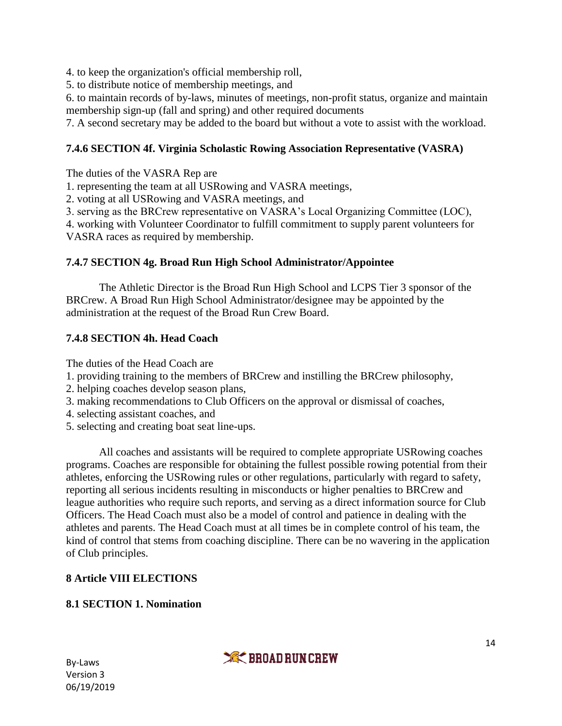4. to keep the organization's official membership roll,

5. to distribute notice of membership meetings, and

6. to maintain records of by-laws, minutes of meetings, non-profit status, organize and maintain membership sign-up (fall and spring) and other required documents

7. A second secretary may be added to the board but without a vote to assist with the workload.

### **7.4.6 SECTION 4f. Virginia Scholastic Rowing Association Representative (VASRA)**

The duties of the VASRA Rep are

1. representing the team at all USRowing and VASRA meetings,

2. voting at all USRowing and VASRA meetings, and

3. serving as the BRCrew representative on VASRA's Local Organizing Committee (LOC),

4. working with Volunteer Coordinator to fulfill commitment to supply parent volunteers for

VASRA races as required by membership.

#### **7.4.7 SECTION 4g. Broad Run High School Administrator/Appointee**

The Athletic Director is the Broad Run High School and LCPS Tier 3 sponsor of the BRCrew. A Broad Run High School Administrator/designee may be appointed by the administration at the request of the Broad Run Crew Board.

### **7.4.8 SECTION 4h. Head Coach**

The duties of the Head Coach are

- 1. providing training to the members of BRCrew and instilling the BRCrew philosophy,
- 2. helping coaches develop season plans,
- 3. making recommendations to Club Officers on the approval or dismissal of coaches,
- 4. selecting assistant coaches, and
- 5. selecting and creating boat seat line-ups.

All coaches and assistants will be required to complete appropriate USRowing coaches programs. Coaches are responsible for obtaining the fullest possible rowing potential from their athletes, enforcing the USRowing rules or other regulations, particularly with regard to safety, reporting all serious incidents resulting in misconducts or higher penalties to BRCrew and league authorities who require such reports, and serving as a direct information source for Club Officers. The Head Coach must also be a model of control and patience in dealing with the athletes and parents. The Head Coach must at all times be in complete control of his team, the kind of control that stems from coaching discipline. There can be no wavering in the application of Club principles.

#### **8 Article VIII ELECTIONS**

**8.1 SECTION 1. Nomination**

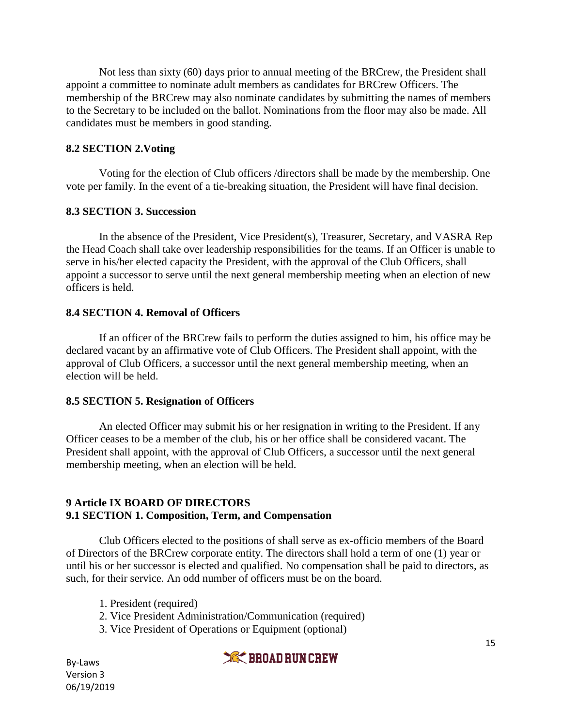Not less than sixty (60) days prior to annual meeting of the BRCrew, the President shall appoint a committee to nominate adult members as candidates for BRCrew Officers. The membership of the BRCrew may also nominate candidates by submitting the names of members to the Secretary to be included on the ballot. Nominations from the floor may also be made. All candidates must be members in good standing.

#### **8.2 SECTION 2.Voting**

Voting for the election of Club officers /directors shall be made by the membership. One vote per family. In the event of a tie-breaking situation, the President will have final decision.

#### **8.3 SECTION 3. Succession**

In the absence of the President, Vice President(s), Treasurer, Secretary, and VASRA Rep the Head Coach shall take over leadership responsibilities for the teams. If an Officer is unable to serve in his/her elected capacity the President, with the approval of the Club Officers, shall appoint a successor to serve until the next general membership meeting when an election of new officers is held.

#### **8.4 SECTION 4. Removal of Officers**

If an officer of the BRCrew fails to perform the duties assigned to him, his office may be declared vacant by an affirmative vote of Club Officers. The President shall appoint, with the approval of Club Officers, a successor until the next general membership meeting, when an election will be held.

#### **8.5 SECTION 5. Resignation of Officers**

An elected Officer may submit his or her resignation in writing to the President. If any Officer ceases to be a member of the club, his or her office shall be considered vacant. The President shall appoint, with the approval of Club Officers, a successor until the next general membership meeting, when an election will be held.

#### **9 Article IX BOARD OF DIRECTORS 9.1 SECTION 1. Composition, Term, and Compensation**

Club Officers elected to the positions of shall serve as ex-officio members of the Board of Directors of the BRCrew corporate entity. The directors shall hold a term of one (1) year or until his or her successor is elected and qualified. No compensation shall be paid to directors, as such, for their service. An odd number of officers must be on the board.

- 1. President (required)
- 2. Vice President Administration/Communication (required)
- 3. Vice President of Operations or Equipment (optional)

**XX BROAD RUN CREW**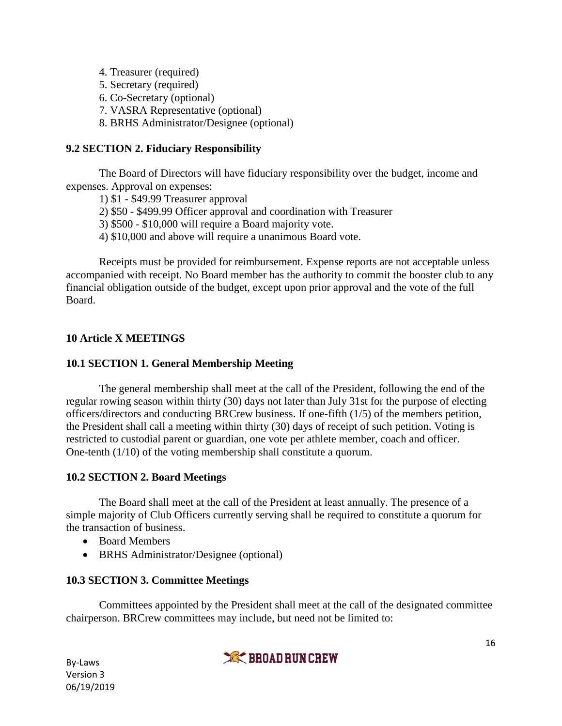- 4. Treasurer (required)
- 5. Secretary (required)
- 6. Co-Secretary (optional)
- 7. VASRA Representative (optional)
- 8. BRHS Administrator/Designee (optional)

### **9.2 SECTION 2. Fiduciary Responsibility**

The Board of Directors will have fiduciary responsibility over the budget, income and expenses. Approval on expenses:

- 1) \$1 \$49.99 Treasurer approval
- 2) \$50 \$499.99 Officer approval and coordination with Treasurer
- 3) \$500 \$10,000 will require a Board majority vote.
- 4) \$10,000 and above will require a unanimous Board vote.

Receipts must be provided for reimbursement. Expense reports are not acceptable unless accompanied with receipt. No Board member has the authority to commit the booster club to any financial obligation outside of the budget, except upon prior approval and the vote of the full Board.

# **10 Article X MEETINGS**

### **10.1 SECTION 1. General Membership Meeting**

The general membership shall meet at the call of the President, following the end of the regular rowing season within thirty (30) days not later than July 31st for the purpose of electing officers/directors and conducting BRCrew business. If one-fifth (1/5) of the members petition, the President shall call a meeting within thirty (30) days of receipt of such petition. Voting is restricted to custodial parent or guardian, one vote per athlete member, coach and officer. One-tenth (1/10) of the voting membership shall constitute a quorum.

### **10.2 SECTION 2. Board Meetings**

The Board shall meet at the call of the President at least annually. The presence of a simple majority of Club Officers currently serving shall be required to constitute a quorum for the transaction of business.

- Board Members
- BRHS Administrator/Designee (optional)

### **10.3 SECTION 3. Committee Meetings**

Committees appointed by the President shall meet at the call of the designated committee chairperson. BRCrew committees may include, but need not be limited to:

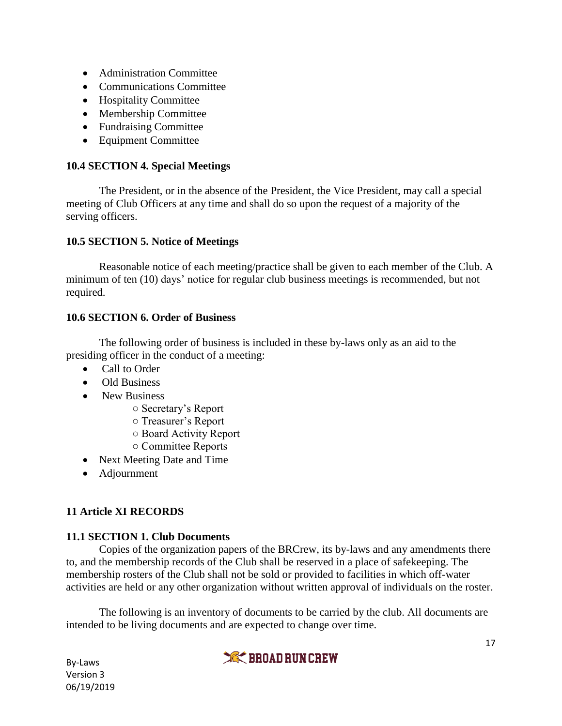- Administration Committee
- Communications Committee
- Hospitality Committee
- Membership Committee
- Fundraising Committee
- Equipment Committee

### **10.4 SECTION 4. Special Meetings**

The President, or in the absence of the President, the Vice President, may call a special meeting of Club Officers at any time and shall do so upon the request of a majority of the serving officers.

### **10.5 SECTION 5. Notice of Meetings**

Reasonable notice of each meeting/practice shall be given to each member of the Club. A minimum of ten (10) days' notice for regular club business meetings is recommended, but not required.

### **10.6 SECTION 6. Order of Business**

The following order of business is included in these by-laws only as an aid to the presiding officer in the conduct of a meeting:

- Call to Order
- Old Business
- New Business
	- Secretary's Report
	- Treasurer's Report
	- Board Activity Report
	- Committee Reports
- Next Meeting Date and Time
- Adjournment

# **11 Article XI RECORDS**

# **11.1 SECTION 1. Club Documents**

Copies of the organization papers of the BRCrew, its by-laws and any amendments there to, and the membership records of the Club shall be reserved in a place of safekeeping. The membership rosters of the Club shall not be sold or provided to facilities in which off-water activities are held or any other organization without written approval of individuals on the roster.

The following is an inventory of documents to be carried by the club. All documents are intended to be living documents and are expected to change over time.

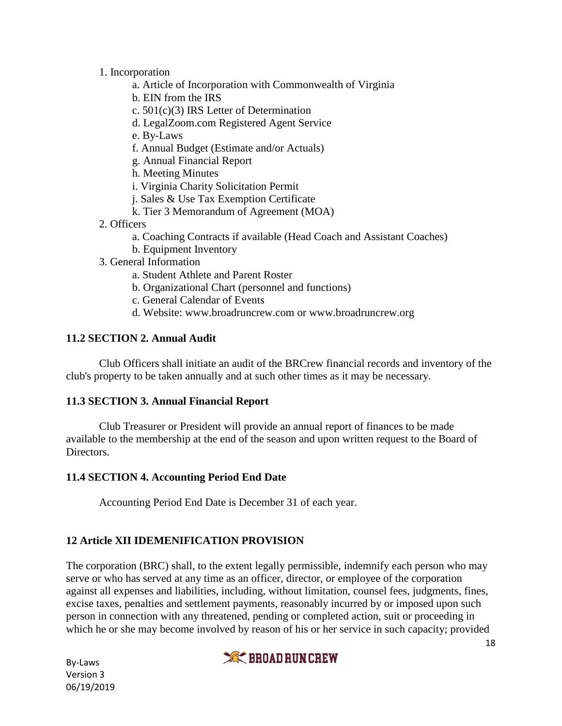- 1. Incorporation
	- a. Article of Incorporation with Commonwealth of Virginia
	- b. EIN from the IRS
	- c. 501(c)(3) IRS Letter of Determination
	- d. LegalZoom.com Registered Agent Service
	- e. By-Laws
	- f. Annual Budget (Estimate and/or Actuals)
	- g. Annual Financial Report
	- h. Meeting Minutes
	- i. Virginia Charity Solicitation Permit
	- j. Sales & Use Tax Exemption Certificate
	- k. Tier 3 Memorandum of Agreement (MOA)
- 2. Officers
	- a. Coaching Contracts if available (Head Coach and Assistant Coaches)
	- b. Equipment Inventory
- 3. General Information
	- a. Student Athlete and Parent Roster
	- b. Organizational Chart (personnel and functions)
	- c. General Calendar of Events
	- d. Website: [www.broadruncrew.com](http://www.broadruncrew.com/) or www.broadruncrew.org

### **11.2 SECTION 2. Annual Audit**

Club Officers shall initiate an audit of the BRCrew financial records and inventory of the club's property to be taken annually and at such other times as it may be necessary.

#### **11.3 SECTION 3. Annual Financial Report**

Club Treasurer or President will provide an annual report of finances to be made available to the membership at the end of the season and upon written request to the Board of Directors.

#### **11.4 SECTION 4. Accounting Period End Date**

Accounting Period End Date is December 31 of each year.

### **12 Article XII IDEMENIFICATION PROVISION**

The corporation (BRC) shall, to the extent legally permissible, indemnify each person who may serve or who has served at any time as an officer, director, or employee of the corporation against all expenses and liabilities, including, without limitation, counsel fees, judgments, fines, excise taxes, penalties and settlement payments, reasonably incurred by or imposed upon such person in connection with any threatened, pending or completed action, suit or proceeding in which he or she may become involved by reason of his or her service in such capacity; provided

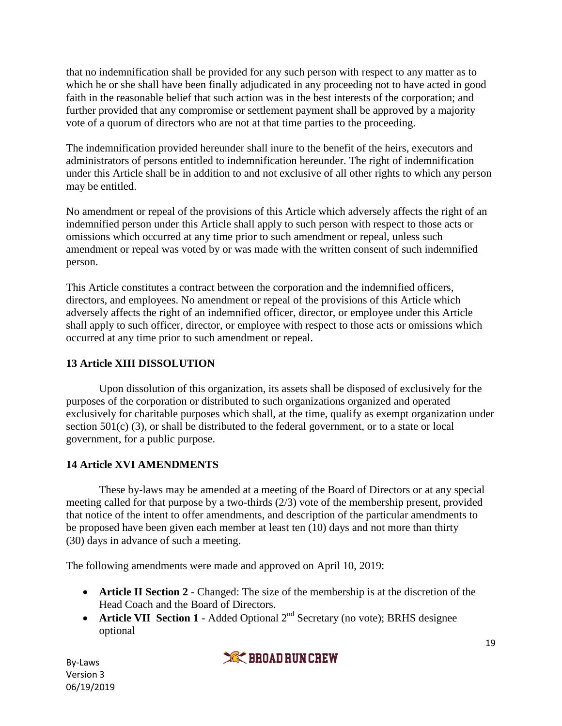that no indemnification shall be provided for any such person with respect to any matter as to which he or she shall have been finally adjudicated in any proceeding not to have acted in good faith in the reasonable belief that such action was in the best interests of the corporation; and further provided that any compromise or settlement payment shall be approved by a majority vote of a quorum of directors who are not at that time parties to the proceeding.

The indemnification provided hereunder shall inure to the benefit of the heirs, executors and administrators of persons entitled to indemnification hereunder. The right of indemnification under this Article shall be in addition to and not exclusive of all other rights to which any person may be entitled.

No amendment or repeal of the provisions of this Article which adversely affects the right of an indemnified person under this Article shall apply to such person with respect to those acts or omissions which occurred at any time prior to such amendment or repeal, unless such amendment or repeal was voted by or was made with the written consent of such indemnified person.

This Article constitutes a contract between the corporation and the indemnified officers, directors, and employees. No amendment or repeal of the provisions of this Article which adversely affects the right of an indemnified officer, director, or employee under this Article shall apply to such officer, director, or employee with respect to those acts or omissions which occurred at any time prior to such amendment or repeal.

### **13 Article XIII DISSOLUTION**

Upon dissolution of this organization, its assets shall be disposed of exclusively for the purposes of the corporation or distributed to such organizations organized and operated exclusively for charitable purposes which shall, at the time, qualify as exempt organization under section 501(c) (3), or shall be distributed to the federal government, or to a state or local government, for a public purpose.

# **14 Article XVI AMENDMENTS**

These by-laws may be amended at a meeting of the Board of Directors or at any special meeting called for that purpose by a two-thirds (2/3) vote of the membership present, provided that notice of the intent to offer amendments, and description of the particular amendments to be proposed have been given each member at least ten (10) days and not more than thirty (30) days in advance of such a meeting.

The following amendments were made and approved on April 10, 2019:

- **Article II Section 2** Changed: The size of the membership is at the discretion of the Head Coach and the Board of Directors.
- **Article VII Section 1** Added Optional 2<sup>nd</sup> Secretary (no vote); BRHS designee optional

**XK BROAD RUN CREW**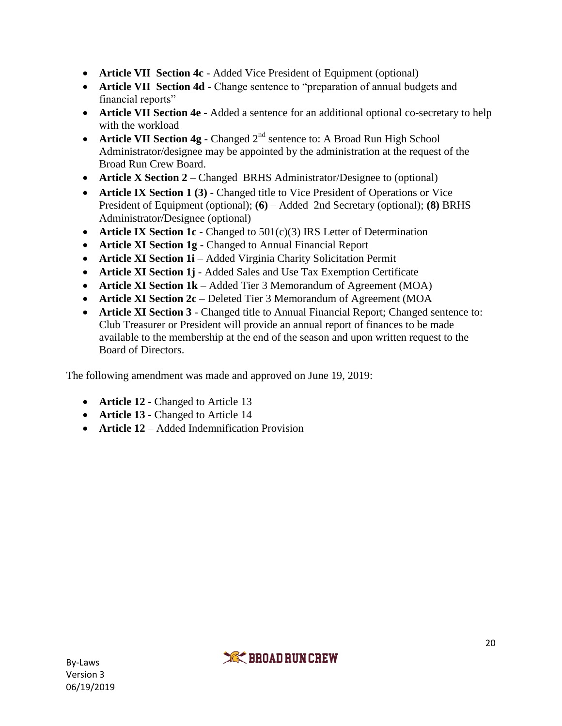- **Article VII Section 4c** Added Vice President of Equipment (optional)
- **Article VII Section 4d** Change sentence to "preparation of annual budgets and financial reports"
- **Article VII Section 4e** Added a sentence for an additional optional co-secretary to help with the workload
- **Article VII Section 4g** Changed 2<sup>nd</sup> sentence to: A Broad Run High School Administrator/designee may be appointed by the administration at the request of the Broad Run Crew Board.
- **Article X Section 2** Changed BRHS Administrator/Designee to (optional)
- **Article IX Section 1 (3)** Changed title to Vice President of Operations or Vice President of Equipment (optional); **(6)** – Added 2nd Secretary (optional); **(8)** BRHS Administrator/Designee (optional)
- **Article IX Section 1c** Changed to 501(c)(3) IRS Letter of Determination
- **Article XI Section 1g -** Changed to Annual Financial Report
- **Article XI Section 1i** Added Virginia Charity Solicitation Permit
- **Article XI Section 1j** Added Sales and Use Tax Exemption Certificate
- **Article XI Section 1k** Added Tier 3 Memorandum of Agreement (MOA)
- **Article XI Section 2c** Deleted Tier 3 Memorandum of Agreement (MOA
- **Article XI Section 3** Changed title to Annual Financial Report; Changed sentence to: Club Treasurer or President will provide an annual report of finances to be made available to the membership at the end of the season and upon written request to the Board of Directors.

The following amendment was made and approved on June 19, 2019:

- **Article 12** Changed to Article 13
- **Article 13** Changed to Article 14
- **• Article 12** Added Indemnification Provision